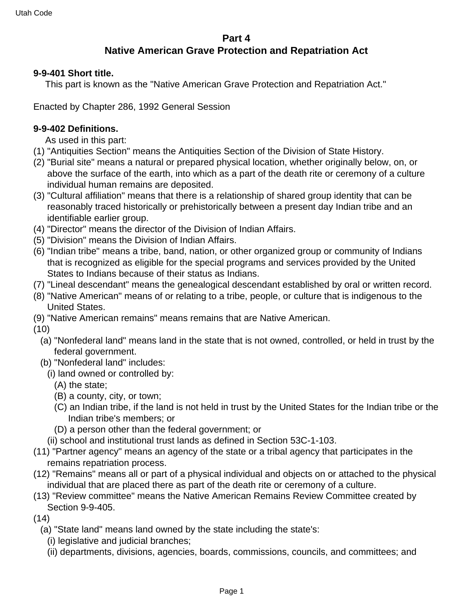### **Part 4 Native American Grave Protection and Repatriation Act**

#### **9-9-401 Short title.**

This part is known as the "Native American Grave Protection and Repatriation Act."

Enacted by Chapter 286, 1992 General Session

#### **9-9-402 Definitions.**

As used in this part:

- (1) "Antiquities Section" means the Antiquities Section of the Division of State History.
- (2) "Burial site" means a natural or prepared physical location, whether originally below, on, or above the surface of the earth, into which as a part of the death rite or ceremony of a culture individual human remains are deposited.
- (3) "Cultural affiliation" means that there is a relationship of shared group identity that can be reasonably traced historically or prehistorically between a present day Indian tribe and an identifiable earlier group.
- (4) "Director" means the director of the Division of Indian Affairs.
- (5) "Division" means the Division of Indian Affairs.
- (6) "Indian tribe" means a tribe, band, nation, or other organized group or community of Indians that is recognized as eligible for the special programs and services provided by the United States to Indians because of their status as Indians.
- (7) "Lineal descendant" means the genealogical descendant established by oral or written record.
- (8) "Native American" means of or relating to a tribe, people, or culture that is indigenous to the United States.
- (9) "Native American remains" means remains that are Native American.

(10)

- (a) "Nonfederal land" means land in the state that is not owned, controlled, or held in trust by the federal government.
- (b) "Nonfederal land" includes:
	- (i) land owned or controlled by:
		- (A) the state;
		- (B) a county, city, or town;
		- (C) an Indian tribe, if the land is not held in trust by the United States for the Indian tribe or the Indian tribe's members; or
		- (D) a person other than the federal government; or
	- (ii) school and institutional trust lands as defined in Section 53C-1-103.
- (11) "Partner agency" means an agency of the state or a tribal agency that participates in the remains repatriation process.
- (12) "Remains" means all or part of a physical individual and objects on or attached to the physical individual that are placed there as part of the death rite or ceremony of a culture.
- (13) "Review committee" means the Native American Remains Review Committee created by Section 9-9-405.
- (14)
	- (a) "State land" means land owned by the state including the state's:
		- (i) legislative and judicial branches;
		- (ii) departments, divisions, agencies, boards, commissions, councils, and committees; and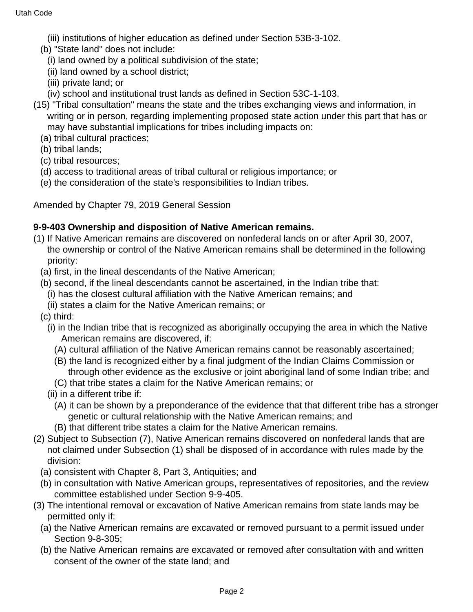(iii) institutions of higher education as defined under Section 53B-3-102.

- (b) "State land" does not include:
	- (i) land owned by a political subdivision of the state;
	- (ii) land owned by a school district;
	- (iii) private land; or
	- (iv) school and institutional trust lands as defined in Section 53C-1-103.
- (15) "Tribal consultation" means the state and the tribes exchanging views and information, in writing or in person, regarding implementing proposed state action under this part that has or may have substantial implications for tribes including impacts on:
	- (a) tribal cultural practices;
	- (b) tribal lands;
	- (c) tribal resources;
	- (d) access to traditional areas of tribal cultural or religious importance; or
	- (e) the consideration of the state's responsibilities to Indian tribes.

Amended by Chapter 79, 2019 General Session

### **9-9-403 Ownership and disposition of Native American remains.**

- (1) If Native American remains are discovered on nonfederal lands on or after April 30, 2007, the ownership or control of the Native American remains shall be determined in the following priority:
	- (a) first, in the lineal descendants of the Native American;
	- (b) second, if the lineal descendants cannot be ascertained, in the Indian tribe that:
		- (i) has the closest cultural affiliation with the Native American remains; and
	- (ii) states a claim for the Native American remains; or
	- (c) third:
		- (i) in the Indian tribe that is recognized as aboriginally occupying the area in which the Native American remains are discovered, if:
			- (A) cultural affiliation of the Native American remains cannot be reasonably ascertained;
			- (B) the land is recognized either by a final judgment of the Indian Claims Commission or through other evidence as the exclusive or joint aboriginal land of some Indian tribe; and
			- (C) that tribe states a claim for the Native American remains; or
		- (ii) in a different tribe if:
			- (A) it can be shown by a preponderance of the evidence that that different tribe has a stronger genetic or cultural relationship with the Native American remains; and
			- (B) that different tribe states a claim for the Native American remains.
- (2) Subject to Subsection (7), Native American remains discovered on nonfederal lands that are not claimed under Subsection (1) shall be disposed of in accordance with rules made by the division:
	- (a) consistent with Chapter 8, Part 3, Antiquities; and
	- (b) in consultation with Native American groups, representatives of repositories, and the review committee established under Section 9-9-405.
- (3) The intentional removal or excavation of Native American remains from state lands may be permitted only if:
	- (a) the Native American remains are excavated or removed pursuant to a permit issued under Section 9-8-305;
	- (b) the Native American remains are excavated or removed after consultation with and written consent of the owner of the state land; and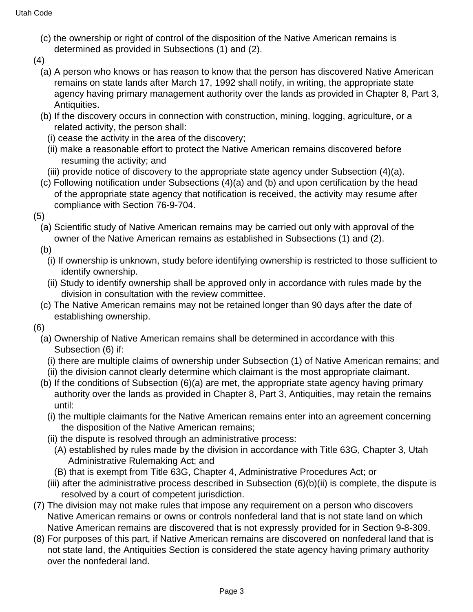- (c) the ownership or right of control of the disposition of the Native American remains is determined as provided in Subsections (1) and (2).
- (4)
	- (a) A person who knows or has reason to know that the person has discovered Native American remains on state lands after March 17, 1992 shall notify, in writing, the appropriate state agency having primary management authority over the lands as provided in Chapter 8, Part 3, Antiquities.
	- (b) If the discovery occurs in connection with construction, mining, logging, agriculture, or a related activity, the person shall:
		- (i) cease the activity in the area of the discovery;
		- (ii) make a reasonable effort to protect the Native American remains discovered before resuming the activity; and
		- (iii) provide notice of discovery to the appropriate state agency under Subsection (4)(a).
	- (c) Following notification under Subsections (4)(a) and (b) and upon certification by the head of the appropriate state agency that notification is received, the activity may resume after compliance with Section 76-9-704.

(5)

(a) Scientific study of Native American remains may be carried out only with approval of the owner of the Native American remains as established in Subsections (1) and (2).

(b)

- (i) If ownership is unknown, study before identifying ownership is restricted to those sufficient to identify ownership.
- (ii) Study to identify ownership shall be approved only in accordance with rules made by the division in consultation with the review committee.
- (c) The Native American remains may not be retained longer than 90 days after the date of establishing ownership.

(6)

- (a) Ownership of Native American remains shall be determined in accordance with this Subsection (6) if:
	- (i) there are multiple claims of ownership under Subsection (1) of Native American remains; and
	- (ii) the division cannot clearly determine which claimant is the most appropriate claimant.
- (b) If the conditions of Subsection (6)(a) are met, the appropriate state agency having primary authority over the lands as provided in Chapter 8, Part 3, Antiquities, may retain the remains until:
	- (i) the multiple claimants for the Native American remains enter into an agreement concerning the disposition of the Native American remains;
	- (ii) the dispute is resolved through an administrative process:
		- (A) established by rules made by the division in accordance with Title 63G, Chapter 3, Utah Administrative Rulemaking Act; and
		- (B) that is exempt from Title 63G, Chapter 4, Administrative Procedures Act; or
	- (iii) after the administrative process described in Subsection (6)(b)(ii) is complete, the dispute is resolved by a court of competent jurisdiction.
- (7) The division may not make rules that impose any requirement on a person who discovers Native American remains or owns or controls nonfederal land that is not state land on which Native American remains are discovered that is not expressly provided for in Section 9-8-309.
- (8) For purposes of this part, if Native American remains are discovered on nonfederal land that is not state land, the Antiquities Section is considered the state agency having primary authority over the nonfederal land.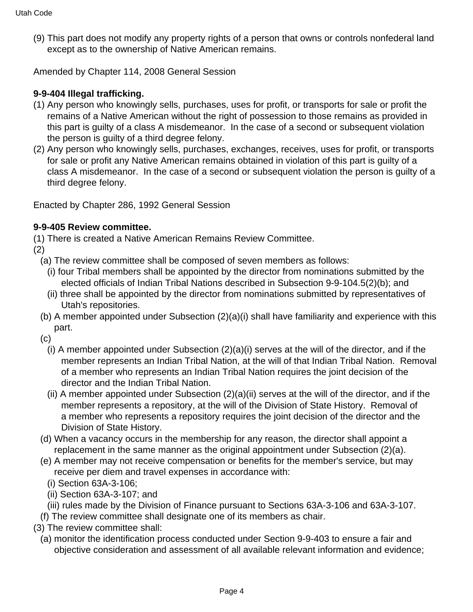(9) This part does not modify any property rights of a person that owns or controls nonfederal land except as to the ownership of Native American remains.

Amended by Chapter 114, 2008 General Session

## **9-9-404 Illegal trafficking.**

- (1) Any person who knowingly sells, purchases, uses for profit, or transports for sale or profit the remains of a Native American without the right of possession to those remains as provided in this part is guilty of a class A misdemeanor. In the case of a second or subsequent violation the person is guilty of a third degree felony.
- (2) Any person who knowingly sells, purchases, exchanges, receives, uses for profit, or transports for sale or profit any Native American remains obtained in violation of this part is guilty of a class A misdemeanor. In the case of a second or subsequent violation the person is guilty of a third degree felony.

Enacted by Chapter 286, 1992 General Session

### **9-9-405 Review committee.**

(1) There is created a Native American Remains Review Committee.

(2)

- (a) The review committee shall be composed of seven members as follows:
	- (i) four Tribal members shall be appointed by the director from nominations submitted by the elected officials of Indian Tribal Nations described in Subsection 9-9-104.5(2)(b); and
	- (ii) three shall be appointed by the director from nominations submitted by representatives of Utah's repositories.
- (b) A member appointed under Subsection (2)(a)(i) shall have familiarity and experience with this part.
- (c)
	- (i) A member appointed under Subsection (2)(a)(i) serves at the will of the director, and if the member represents an Indian Tribal Nation, at the will of that Indian Tribal Nation. Removal of a member who represents an Indian Tribal Nation requires the joint decision of the director and the Indian Tribal Nation.
	- (ii) A member appointed under Subsection (2)(a)(ii) serves at the will of the director, and if the member represents a repository, at the will of the Division of State History. Removal of a member who represents a repository requires the joint decision of the director and the Division of State History.
- (d) When a vacancy occurs in the membership for any reason, the director shall appoint a replacement in the same manner as the original appointment under Subsection (2)(a).
- (e) A member may not receive compensation or benefits for the member's service, but may receive per diem and travel expenses in accordance with:
	- (i) Section 63A-3-106;
	- (ii) Section 63A-3-107; and
	- (iii) rules made by the Division of Finance pursuant to Sections 63A-3-106 and 63A-3-107.
- (f) The review committee shall designate one of its members as chair.
- (3) The review committee shall:
	- (a) monitor the identification process conducted under Section 9-9-403 to ensure a fair and objective consideration and assessment of all available relevant information and evidence;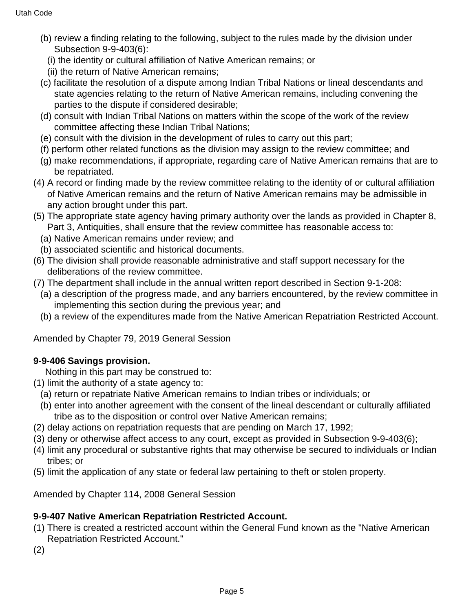- (b) review a finding relating to the following, subject to the rules made by the division under Subsection 9-9-403(6):
	- (i) the identity or cultural affiliation of Native American remains; or
	- (ii) the return of Native American remains;
- (c) facilitate the resolution of a dispute among Indian Tribal Nations or lineal descendants and state agencies relating to the return of Native American remains, including convening the parties to the dispute if considered desirable;
- (d) consult with Indian Tribal Nations on matters within the scope of the work of the review committee affecting these Indian Tribal Nations;
- (e) consult with the division in the development of rules to carry out this part;
- (f) perform other related functions as the division may assign to the review committee; and
- (g) make recommendations, if appropriate, regarding care of Native American remains that are to be repatriated.
- (4) A record or finding made by the review committee relating to the identity of or cultural affiliation of Native American remains and the return of Native American remains may be admissible in any action brought under this part.
- (5) The appropriate state agency having primary authority over the lands as provided in Chapter 8, Part 3, Antiquities, shall ensure that the review committee has reasonable access to:
	- (a) Native American remains under review; and
	- (b) associated scientific and historical documents.
- (6) The division shall provide reasonable administrative and staff support necessary for the deliberations of the review committee.
- (7) The department shall include in the annual written report described in Section 9-1-208:
	- (a) a description of the progress made, and any barriers encountered, by the review committee in implementing this section during the previous year; and
	- (b) a review of the expenditures made from the Native American Repatriation Restricted Account.

Amended by Chapter 79, 2019 General Session

### **9-9-406 Savings provision.**

Nothing in this part may be construed to:

- (1) limit the authority of a state agency to:
	- (a) return or repatriate Native American remains to Indian tribes or individuals; or
	- (b) enter into another agreement with the consent of the lineal descendant or culturally affiliated tribe as to the disposition or control over Native American remains;
- (2) delay actions on repatriation requests that are pending on March 17, 1992;
- (3) deny or otherwise affect access to any court, except as provided in Subsection 9-9-403(6);
- (4) limit any procedural or substantive rights that may otherwise be secured to individuals or Indian tribes; or
- (5) limit the application of any state or federal law pertaining to theft or stolen property.

Amended by Chapter 114, 2008 General Session

### **9-9-407 Native American Repatriation Restricted Account.**

- (1) There is created a restricted account within the General Fund known as the "Native American Repatriation Restricted Account."
- (2)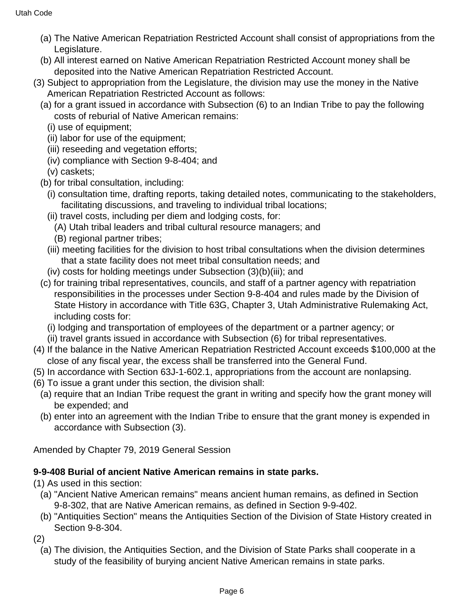- (a) The Native American Repatriation Restricted Account shall consist of appropriations from the Legislature.
- (b) All interest earned on Native American Repatriation Restricted Account money shall be deposited into the Native American Repatriation Restricted Account.
- (3) Subject to appropriation from the Legislature, the division may use the money in the Native American Repatriation Restricted Account as follows:
	- (a) for a grant issued in accordance with Subsection (6) to an Indian Tribe to pay the following costs of reburial of Native American remains:
		- (i) use of equipment;
		- (ii) labor for use of the equipment;
		- (iii) reseeding and vegetation efforts;
		- (iv) compliance with Section 9-8-404; and

(v) caskets;

- (b) for tribal consultation, including:
	- (i) consultation time, drafting reports, taking detailed notes, communicating to the stakeholders, facilitating discussions, and traveling to individual tribal locations;
	- (ii) travel costs, including per diem and lodging costs, for:
		- (A) Utah tribal leaders and tribal cultural resource managers; and
		- (B) regional partner tribes;
	- (iii) meeting facilities for the division to host tribal consultations when the division determines that a state facility does not meet tribal consultation needs; and
	- (iv) costs for holding meetings under Subsection (3)(b)(iii); and
- (c) for training tribal representatives, councils, and staff of a partner agency with repatriation responsibilities in the processes under Section 9-8-404 and rules made by the Division of State History in accordance with Title 63G, Chapter 3, Utah Administrative Rulemaking Act, including costs for:
	- (i) lodging and transportation of employees of the department or a partner agency; or
	- (ii) travel grants issued in accordance with Subsection (6) for tribal representatives.
- (4) If the balance in the Native American Repatriation Restricted Account exceeds \$100,000 at the close of any fiscal year, the excess shall be transferred into the General Fund.
- (5) In accordance with Section 63J-1-602.1, appropriations from the account are nonlapsing.
- (6) To issue a grant under this section, the division shall:
	- (a) require that an Indian Tribe request the grant in writing and specify how the grant money will be expended; and
	- (b) enter into an agreement with the Indian Tribe to ensure that the grant money is expended in accordance with Subsection (3).

Amended by Chapter 79, 2019 General Session

# **9-9-408 Burial of ancient Native American remains in state parks.**

(1) As used in this section:

- (a) "Ancient Native American remains" means ancient human remains, as defined in Section 9-8-302, that are Native American remains, as defined in Section 9-9-402.
- (b) "Antiquities Section" means the Antiquities Section of the Division of State History created in Section 9-8-304.

(2)

(a) The division, the Antiquities Section, and the Division of State Parks shall cooperate in a study of the feasibility of burying ancient Native American remains in state parks.